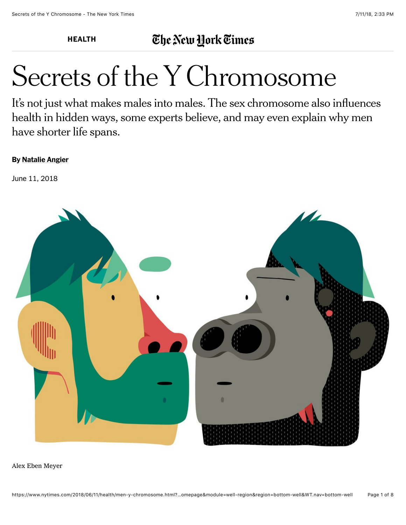[HEALTH](https://www.nytimes.com/section/health)

# Secrets of the Y Chromosome

It's not just what makes males into males. The sex chromosome also influences health in hidden ways, some experts believe, and may even explain why men have shorter life spans.

#### By [Natalie Angier](http://www.nytimes.com/by/natalie-angier)

June 11, 2018



Alex Eben Meyer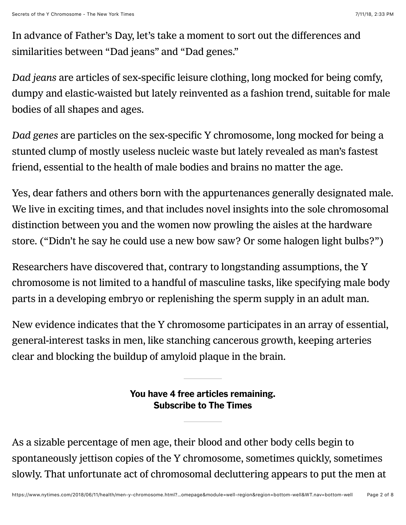In advance of Father's Day, let's take a moment to sort out the differences and similarities between "Dad jeans" and "Dad genes."

*Dad jeans* are articles of sex-specific leisure clothing, long mocked for being comfy, dumpy and elastic-waisted but lately reinvented as a fashion trend, suitable for male bodies of all shapes and ages.

*Dad genes* are particles on the sex-specific Y chromosome, long mocked for being a stunted clump of mostly useless nucleic waste but lately revealed as man's fastest friend, essential to the health of male bodies and brains no matter the age.

Yes, dear fathers and others born with the appurtenances generally designated male. We live in exciting times, and that includes novel insights into the sole chromosomal distinction between you and the women now prowling the aisles at the hardware store. ("Didn't he say he could use a new bow saw? Or some halogen light bulbs?")

Researchers have discovered that, contrary to longstanding assumptions, the Y chromosome is not limited to a handful of masculine tasks, like specifying male body parts in a developing embryo or replenishing the sperm supply in an adult man.

New evidence indicates that the Y chromosome participates in an array of essential, general-interest tasks in men, like stanching cancerous growth, keeping arteries clear and blocking the buildup of amyloid plaque in the brain.

> [Subscribe to The Times](https://www.nytimes.com/subscription/multiproduct/lp8HYFM.html?campaignId=7XYQL) You have 4 free articles remaining.

As a sizable percentage of men age, their blood and other body cells begin to spontaneously jettison copies of the Y chromosome, sometimes quickly, sometimes slowly. That unfortunate act of chromosomal decluttering appears to put the men at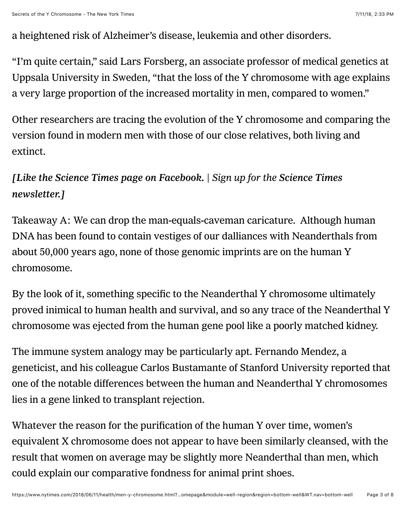a heightened risk of Alzheimer's disease, leukemia and other disorders.

"I'm quite certain," said Lars Forsberg, an associate professor of medical genetics at Uppsala University in Sweden, "that the loss of the Y chromosome with age explains a very large proportion of the increased mortality in men, compared to women."

Other researchers are tracing the evolution of the Y chromosome and comparing the version found in modern men with those of our close relatives, both living and extinct.

# *[\[L](http://nyti.ms/1MbHaRU)[ike the Science Times page on Facebook](http://on.fb.me/1paTQ1h)[.](http://nyti.ms/1MbHaRU) | Sign up for the Science Times newsletter.]*

Takeaway A: We can drop the man-equals-caveman caricature. Although human DNA has been found to contain vestiges of our dalliances with Neanderthals from about 50,000 years ago, none of those genomic imprints are on the human Y chromosome.

By the look of it, something specific to the Neanderthal Y chromosome ultimately proved inimical to human health and survival, and so any trace of the Neanderthal Y chromosome [was ejected from the human gene pool](https://www.ncbi.nlm.nih.gov/pubmed/27058445) like a poorly matched kidney.

The immune system analogy may be particularly apt. Fernando Mendez, a geneticist, and his colleague Carlos Bustamante of Stanford University reported that one of the notable differences between the human and Neanderthal Y chromosomes lies in a gene linked to transplant rejection.

Whatever the reason for the purification of the human Y over time, women's equivalent X chromosome does not appear to have been similarly cleansed, with the result that women on average may be slightly more Neanderthal than men, which could explain our comparative fondness for animal print shoes.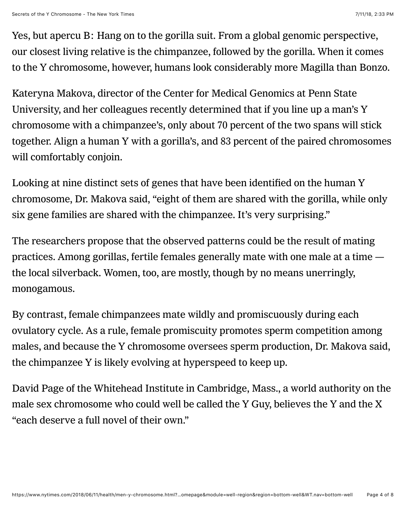Yes, but apercu B: Hang on to the gorilla suit. From a global genomic perspective, our closest living relative is the chimpanzee, followed by the gorilla. When it comes to the Y chromosome, however, humans look considerably more Magilla than Bonzo.

Kateryna Makova, director of the Center for Medical Genomics at Penn State University, and her colleagues recently determined that if you line up a man's Y chromosome with a chimpanzee's, only about 70 percent of the two spans will stick together. Align a human Y with a gorilla's, and 83 percent of the paired chromosomes [will comfortably conjoin.](https://www.ncbi.nlm.nih.gov/pubmed/26934921)

Looking at nine distinct sets of genes that have been identified on the human Y chromosome, Dr. Makova said, "eight of them are shared with the gorilla, while only six gene families are shared with the chimpanzee. It's very surprising."

The researchers propose that the observed patterns could be the result of mating practices. Among gorillas, fertile females generally mate with one male at a time the local silverback. Women, too, are mostly, though by no means unerringly, monogamous.

By contrast, female chimpanzees mate wildly and promiscuously during each ovulatory cycle. As a rule, female promiscuity promotes sperm competition among males, and because the Y chromosome oversees sperm production, Dr. Makova said, the chimpanzee Y is likely evolving at hyperspeed to keep up.

David Page of the Whitehead Institute in Cambridge, Mass., a world authority on the male sex chromosome who could well be called the Y Guy, believes the Y and the X "each deserve a full novel of their own."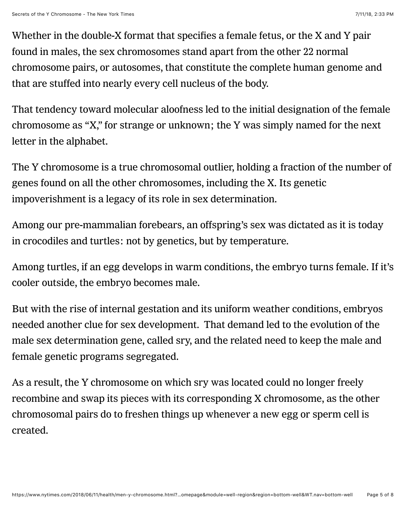Whether in the double-X format that specifies a female fetus, or the X and Y pair found in males, the sex chromosomes stand apart from the other 22 normal chromosome pairs, or autosomes, that constitute the complete human genome and that are stuffed into nearly every cell nucleus of the body.

That tendency toward molecular aloofness led to the initial designation of the female chromosome as "X," for strange or unknown; the Y was simply named for the next letter in the alphabet.

The Y chromosome is a true chromosomal outlier, holding a fraction of the number of genes found on all the other chromosomes, including the X. Its genetic impoverishment is a legacy of its role in sex determination.

Among our pre-mammalian forebears, an offspring's sex was dictated as it is today in crocodiles and turtles: not by genetics, but by temperature.

Among turtles, if an egg develops in warm conditions, the embryo turns female. If it's cooler outside, the embryo becomes male.

But with the rise of internal gestation and its uniform weather conditions, embryos needed another clue for sex development. That demand led to the evolution of the male sex determination gene, called sry, and the related need to keep the male and female genetic programs segregated.

As a result, the Y chromosome on which sry was located could no longer freely recombine and swap its pieces with its corresponding X chromosome, as the other chromosomal pairs do to freshen things up whenever a new egg or sperm cell is created.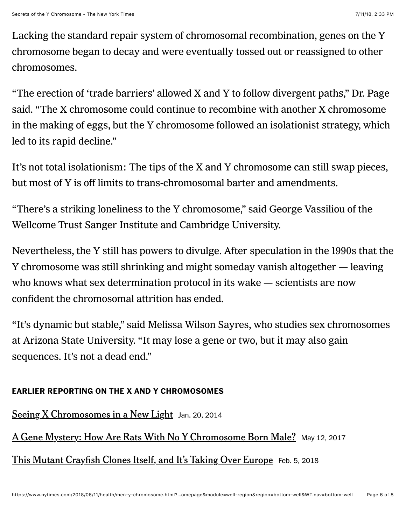Lacking the standard repair system of chromosomal recombination, genes on the Y chromosome began to decay and were eventually tossed out or reassigned to other chromosomes.

"The erection of 'trade barriers' allowed X and Y to follow divergent paths," Dr. Page said. "The X chromosome could continue to recombine with another X chromosome in the making of eggs, but the Y chromosome followed an isolationist strategy, which led to its rapid decline."

It's not total isolationism: The tips of the X and Y chromosome can still swap pieces, but most of Y is off limits to trans-chromosomal barter and amendments.

"There's a striking loneliness to the Y chromosome," said George Vassiliou of the Wellcome Trust Sanger Institute and Cambridge University.

Nevertheless, the Y still has powers to divulge. After speculation in the 1990s that the Y chromosome was still shrinking and might someday vanish altogether — leaving [who knows what sex determination protocol in its wake — scientists are now](https://www.ncbi.nlm.nih.gov/pubmed/24415951) confident the chromosomal attrition has ended.

"It's dynamic but stable," said Melissa Wilson Sayres, who studies sex chromosomes at Arizona State University. "It may lose a gene or two, but it may also gain sequences. It's not a dead end."

## EARLIER REPORTING ON THE X AND Y CHROMOSOMES

[Seeing X Chromosomes in a New Light](https://www.nytimes.com/2014/01/21/science/seeing-x-chromosomes-in-a-new-light.html?action=click&module=RelatedLinks&pgtype=Article) Jan. 20, 2014

[A Gene Mystery: How Are Rats With No Y Chromosome Born Male?](https://www.nytimes.com/2017/05/12/science/amami-spiny-rat-y-chromosome-male.html?action=click&module=RelatedLinks&pgtype=Article) May 12, 2017

[This Mutant Crayfish Clones Itself, and It's Taking Over Europe](https://www.nytimes.com/2018/02/05/science/mutant-crayfish-clones-europe.html?action=click&module=RelatedLinks&pgtype=Article) Feb. 5, 2018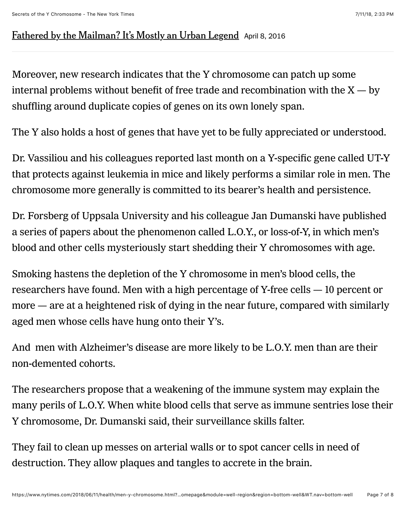### [Fathered by the Mailman? It's Mostly an Urban Legend](https://www.nytimes.com/2016/04/12/science/extra-marital-paternity-less-common-than-assumed-scientists-find.html?action=click&module=RelatedLinks&pgtype=Article) April 8, 2016

Moreover, new research indicates that the Y chromosome can patch up some internal problems without benefit of free trade and recombination with the  $X - by$ shuffling around duplicate copies of genes on its own lonely span.

The Y also holds a host of genes that have yet to be fully appreciated or understood.

Dr. Vassiliou and his colleagues reported last month on a Y-specific gene called UT-Y that [protects against leukemia in mice](https://www.ncbi.nlm.nih.gov/pubmed/29736013) and likely performs a similar role in men. The chromosome more generally is committed to its bearer's health and persistence.

Dr. Forsberg of Uppsala University and his colleague Jan Dumanski have published a series of papers about the phenomenon called L.O.Y., or loss-of-Y, in which men's blood and other cells mysteriously start shedding their Y chromosomes with age.

Smoking hastens the depletion of the Y chromosome in men's blood cells, the researchers have found. Men with a high percentage of Y-free cells — 10 percent or more — [are at a heightened risk of dying](https://www.ncbi.nlm.nih.gov/pubmed/28424864) in the near future, compared with similarly aged men whose cells have hung onto their Y's.

And men with Alzheimer's disease are more likely to be L.O.Y. men than are their non-demented cohorts.

The researchers propose that a weakening of the immune system may explain the many perils of L.O.Y. When white blood cells that serve as immune sentries lose their Y chromosome, Dr. Dumanski said, their surveillance skills falter.

They fail to clean up messes on arterial walls or to spot cancer cells in need of destruction. They allow plaques and tangles to accrete in the brain.